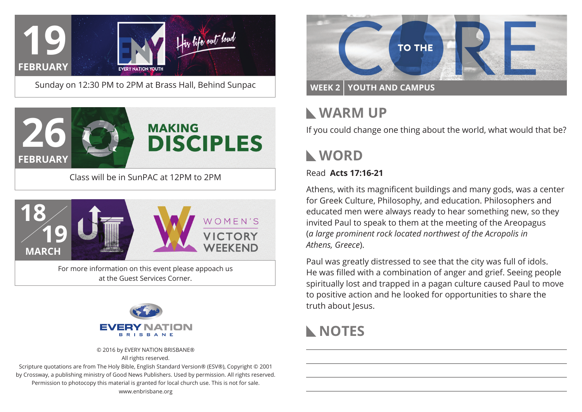

Sunday on 12:30 PM to 2PM at Brass Hall, Behind Sunpac



Class will be in SunPAC at 12PM to 2PM



at the Guest Services Corner.



© 2016 by EVERY NATION BRISBANE®

All rights reserved.

Scripture quotations are from The Holy Bible, English Standard Version® (ESV®), Copyright © 2001 by Crossway, a publishing ministry of Good News Publishers. Used by permission. All rights reserved. Permission to photocopy this material is granted for local church use. This is not for sale. www.enbrisbane.org



# **Warm Up**

If you could change one thing about the world, what would that be?

# **WORD**

### Read **Acts 17:16-21**

Athens, with its magnificent buildings and many gods, was a center for Greek Culture, Philosophy, and education. Philosophers and educated men were always ready to hear something new, so they invited Paul to speak to them at the meeting of the Areopagus (*a large prominent rock located northwest of the Acropolis in Athens, Greece*).

Paul was greatly distressed to see that the city was full of idols. He was filled with a combination of anger and grief. Seeing people spiritually lost and trapped in a pagan culture caused Paul to move to positive action and he looked for opportunities to share the truth about Jesus.

## **NOTES**